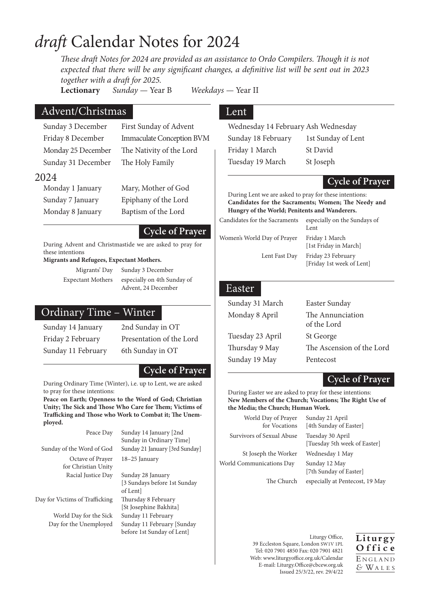# *draft* Calendar Notes for 2024

*These draft Notes for 2024 are provided as an assistance to Ordo Compilers. Though it is not expected that there will be any significant changes, a definitive list will be sent out in 2023 together with a draft for 2025.*

**Lectionary** *Sunday —* Year B *Weekdays —* Year II

## Advent/Christmas

Sunday 31 December The Holy Family

# Sunday 3 December First Sunday of Advent Friday 8 December Immaculate Conception BVM Monday 25 December The Nativity of the Lord

# 2024<br>Monday 1 January

Mary, Mother of God

Sunday 7 January Epiphany of the Lord Monday 8 January Baptism of the Lord

#### **Cycle of Prayer**

During Advent and Christmastide we are asked to pray for these intentions

#### **Migrants and Refugees, Expectant Mothers.**

Migrants' Day Sunday 3 December Expectant Mothers especially on 4th Sunday of Advent, 24 December

# Ordinary Time – Winter

Sunday 14 January 2nd Sunday in OT Friday 2 February Presentation of the Lord Sunday 11 February 6th Sunday in OT

### **Cycle of Prayer**

During Ordinary Time (Winter), i.e. up to Lent, we are asked to pray for these intentions:

**Peace on Earth; Openness to the Word of God; Christian Unity; The Sick and Those Who Care for Them; Victims of Trafficking and Those who Work to Combat it; The Unemployed.**

| Peace Day                               | Sunday 14 January [2nd                                       |
|-----------------------------------------|--------------------------------------------------------------|
|                                         | Sunday in Ordinary Time                                      |
| Sunday of the Word of God               | Sunday 21 January [3rd Sunday]                               |
| Octave of Prayer<br>for Christian Unity | 18-25 January                                                |
| Racial Justice Day                      | Sunday 28 January<br>[3 Sundays before 1st Sunday<br>of Lent |
| Day for Victims of Trafficking          | Thursday 8 February                                          |

World Day for the Sick Sunday 11 February

nuary efore 1st Sunday [St Josephine Bakhita] Day for the Unemployed Sunday 11 February [Sunday before 1st Sunday of Lent]

# Lent

Wednesday 14 February Ash Wednesday Sunday 18 February 1st Sunday of Lent Friday 1 March St David Tuesday 19 March St Joseph

#### **Cycle of Prayer**

During Lent we are asked to pray for these intentions: **Candidates for the Sacraments; Women; The Needy and Hungry of the World; Penitents and Wanderers.**

| Candidates for the Sacraments | especially on the Sundays of<br>Lent    |
|-------------------------------|-----------------------------------------|
| Women's World Day of Prayer   | Friday 1 March<br>[1st Friday in March] |

in March] Lent Fast Day Friday 23 February [Friday 1st week of Lent]

#### Easter

| Sunday 31 March  | Easter Sunday                   |
|------------------|---------------------------------|
| Monday 8 April   | The Annunciation<br>of the Lord |
| Tuesday 23 April | St George                       |
| Thursday 9 May   | The Ascension of the Lord       |
| Sunday 19 May    | Pentecost                       |
|                  |                                 |

#### **Cycle of Prayer**

During Easter we are asked to pray for these intentions: **New Members of the Church; Vocations; The Right Use of the Media; the Church; Human Work.**

| World Day of Prayer<br>for Vocations | Sunday 21 April<br>[4th Sunday of Easter]        |
|--------------------------------------|--------------------------------------------------|
| Survivors of Sexual Abuse            | Tuesday 30 April<br>[Tuesday 5th week of Easter] |
| St Joseph the Worker                 | Wednesday 1 May                                  |
| World Communications Day             | Sunday 12 May<br>[7th Sunday of Easter]          |
| The Church                           | especially at Pentecost, 19 May                  |

Liturgy Office, 39 Eccleston Square, London SW1V 1PL Tel: 020 7901 4850 Fax: 020 7901 4821 Web: www.liturgyoffice.org.uk/Calendar E-mail: Liturgy.Office@cbcew.org.uk Issued 25/3/22, rev. 29/4/22